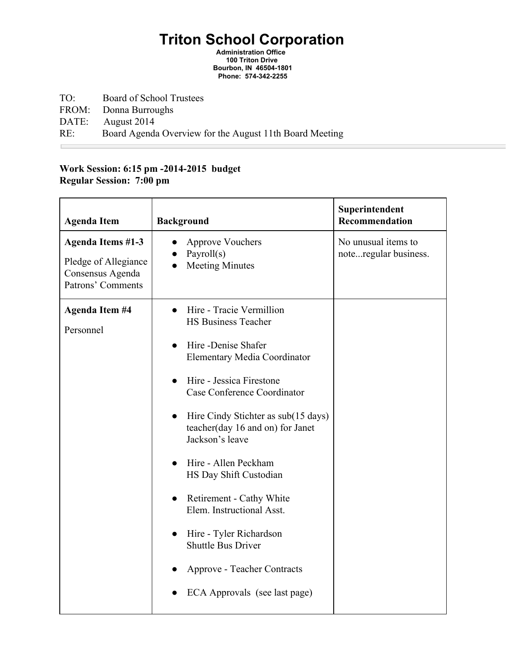## **Triton School Corporation**

**Administration Office 100 Triton Drive Bourbon, IN 465041801 Phone: 5743422255**

- TO: Board of School Trustees
- FROM: Donna Burroughs<br>DATE: August 2014

August 2014

 $\mathcal{L}_{\text{max}}$ 

RE: Board Agenda Overview for the August 11th Board Meeting

## **Work Session: 6:15 pm 20142015 budget Regular Session: 7:00 pm**

| <b>Agenda Item</b>                                                                        | <b>Background</b>                                                                                                                                                                                                                                                                                                                                                                                                                                                                                                                    | Superintendent<br>Recommendation             |
|-------------------------------------------------------------------------------------------|--------------------------------------------------------------------------------------------------------------------------------------------------------------------------------------------------------------------------------------------------------------------------------------------------------------------------------------------------------------------------------------------------------------------------------------------------------------------------------------------------------------------------------------|----------------------------------------------|
| <b>Agenda Items #1-3</b><br>Pledge of Allegiance<br>Consensus Agenda<br>Patrons' Comments | <b>Approve Vouchers</b><br>Payroll $(s)$<br><b>Meeting Minutes</b>                                                                                                                                                                                                                                                                                                                                                                                                                                                                   | No unusual items to<br>noteregular business. |
| <b>Agenda Item #4</b><br>Personnel                                                        | Hire - Tracie Vermillion<br><b>HS Business Teacher</b><br>Hire -Denise Shafer<br><b>Elementary Media Coordinator</b><br>Hire - Jessica Firestone<br>Case Conference Coordinator<br>Hire Cindy Stichter as sub(15 days)<br>$\bullet$<br>teacher(day 16 and on) for Janet<br>Jackson's leave<br>Hire - Allen Peckham<br>HS Day Shift Custodian<br>Retirement - Cathy White<br>Elem. Instructional Asst.<br>Hire - Tyler Richardson<br><b>Shuttle Bus Driver</b><br><b>Approve - Teacher Contracts</b><br>ECA Approvals (see last page) |                                              |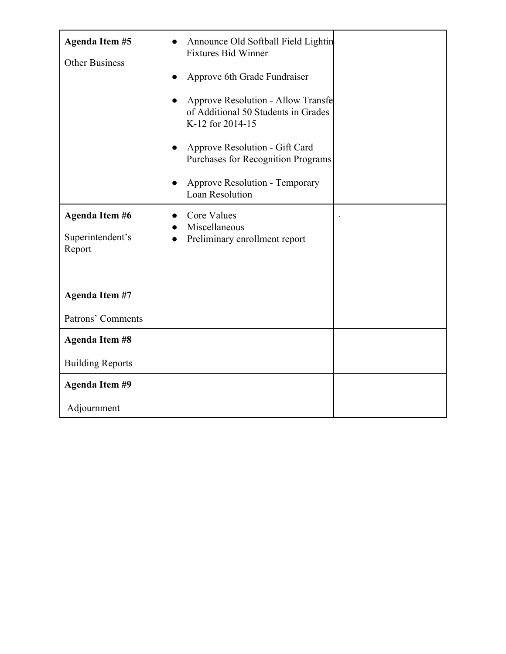| <b>Agenda Item #5</b><br><b>Other Business</b>      | Announce Old Softball Field Lightin<br><b>Fixtures Bid Winner</b><br>Approve 6th Grade Fundraiser<br><b>Approve Resolution - Allow Transfe</b><br>of Additional 50 Students in Grades<br>K-12 for 2014-15<br>Approve Resolution - Gift Card<br><b>Purchases for Recognition Programs</b><br><b>Approve Resolution - Temporary</b><br><b>Loan Resolution</b> |  |
|-----------------------------------------------------|-------------------------------------------------------------------------------------------------------------------------------------------------------------------------------------------------------------------------------------------------------------------------------------------------------------------------------------------------------------|--|
| <b>Agenda Item #6</b><br>Superintendent's<br>Report | <b>Core Values</b><br>Miscellaneous<br>Preliminary enrollment report<br>$\bullet$                                                                                                                                                                                                                                                                           |  |
| <b>Agenda Item #7</b><br>Patrons' Comments          |                                                                                                                                                                                                                                                                                                                                                             |  |
| <b>Agenda Item #8</b><br><b>Building Reports</b>    |                                                                                                                                                                                                                                                                                                                                                             |  |
| <b>Agenda Item #9</b><br>Adjournment                |                                                                                                                                                                                                                                                                                                                                                             |  |